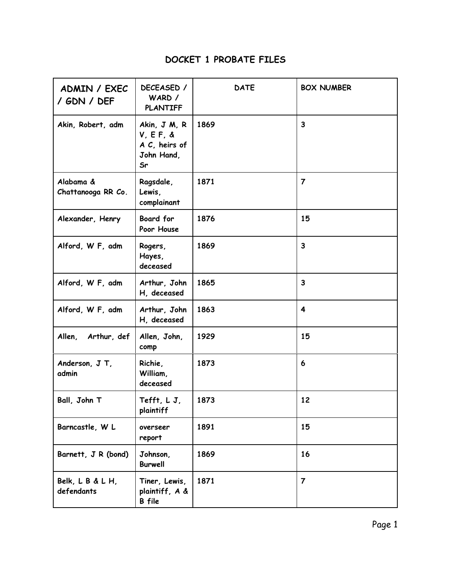## **DOCKET 1 PROBATE FILES**

| ADMIN / EXEC<br>/ GDN / DEF     | DECEASED /<br>WARD /<br><b>PLANTIFF</b>                            | <b>DATE</b> | <b>BOX NUMBER</b>       |
|---------------------------------|--------------------------------------------------------------------|-------------|-------------------------|
| Akin, Robert, adm               | Akin, J M, R<br>$V, E. F, \&$<br>A C, heirs of<br>John Hand,<br>Sr | 1869        | $\overline{\mathbf{3}}$ |
| Alabama &<br>Chattanooga RR Co. | Ragsdale,<br>Lewis,<br>complainant                                 | 1871        | $\overline{7}$          |
| Alexander, Henry                | <b>Board for</b><br>Poor House                                     | 1876        | 15                      |
| Alford, W F, adm                | Rogers,<br>Hayes,<br>deceased                                      | 1869        | $\overline{\mathbf{3}}$ |
| Alford, W F, adm                | Arthur, John<br>H, deceased                                        | 1865        | 3                       |
| Alford, W F, adm                | Arthur, John<br>H, deceased                                        | 1863        | 4                       |
| Allen,<br>Arthur, def           | Allen, John,<br>comp                                               | 1929        | 15                      |
| Anderson, J T,<br>admin         | Richie,<br>William,<br>deceased                                    | 1873        | 6                       |
| Ball, John T                    | Tefft, LJ,<br>plaintiff                                            | 1873        | 12                      |
| Barncastle, W L                 | overseer<br>report                                                 | 1891        | 15                      |
| Barnett, J R (bond)             | Johnson,<br><b>Burwell</b>                                         | 1869        | 16                      |
| Belk, L B & L H,<br>defendants  | Tiner, Lewis,<br>plaintiff, A &<br>B file                          | 1871        | $\overline{7}$          |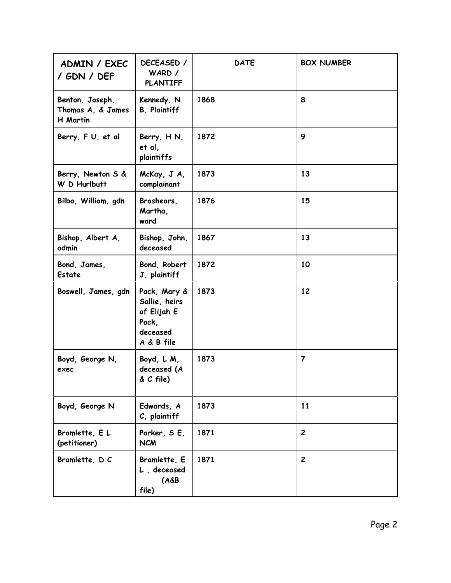| ADMIN / EXEC<br>/ GDN / DEF                      | DECEASED /<br>WARD /<br><b>PLANTIFF</b>                                         | <b>DATE</b> | <b>BOX NUMBER</b> |
|--------------------------------------------------|---------------------------------------------------------------------------------|-------------|-------------------|
| Benton, Joseph,<br>Thomas A, & James<br>H Martin | Kennedy, N<br><b>B.</b> Plaintiff                                               | 1868        | 8                 |
| Berry, FU, et al                                 | Berry, HN,<br>et al,<br>plaintiffs                                              | 1872        | 9                 |
| Berry, Newton S &<br>W D Hurlbutt                | McKay, J A,<br>complainant                                                      | 1873        | 13                |
| Bilbo, William, gdn                              | Brashears,<br>Martha,<br>ward                                                   | 1876        | 15                |
| Bishop, Albert A,<br>admin                       | Bishop, John,<br>deceased                                                       | 1867        | 13                |
| Bond, James,<br>Estate                           | Bond, Robert<br>J, plaintiff                                                    | 1872        | 10                |
| Boswell, James, gdn                              | Pack, Mary &<br>Sallie, heirs<br>of Elijah E<br>Pack,<br>deceased<br>A & B file | 1873        | 12                |
| Boyd, George N,<br>exec                          | Boyd, L M,<br>deceased (A<br>$& C$ file)                                        | 1873        | $\overline{7}$    |
| Boyd, George N                                   | Edwards, A<br>C, plaintiff                                                      | 1873        | 11                |
| Bramlette, EL<br>(petitioner)                    | Parker, SE,<br><b>NCM</b>                                                       | 1871        | $\overline{c}$    |
| Bramlette, D C                                   | Bramlette, E<br>L, deceased<br>$(A\&B)$<br>file)                                | 1871        | $\overline{c}$    |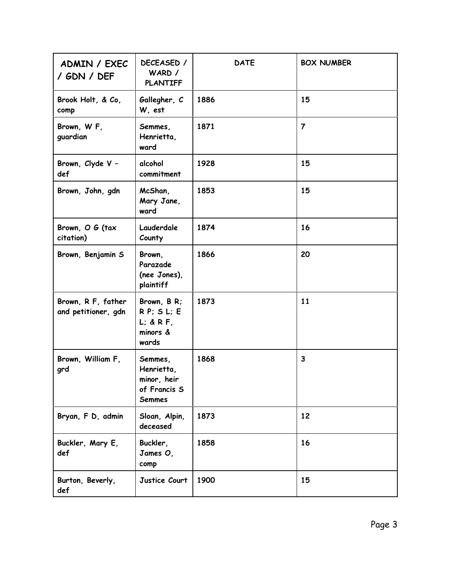| ADMIN / EXEC<br>/ GDN / DEF               | DECEASED /<br>WARD /<br><b>PLANTIFF</b>                                | <b>DATE</b> | <b>BOX NUMBER</b> |
|-------------------------------------------|------------------------------------------------------------------------|-------------|-------------------|
| Brook Holt, & Co,<br>comp                 | Gallegher, C<br>W, est                                                 | 1886        | 15                |
| Brown, W F,<br>guardian                   | Semmes,<br>Henrietta,<br>ward                                          | 1871        | $\overline{7}$    |
| Brown, Clyde V -<br>def                   | alcohol<br>commitment                                                  | 1928        | 15                |
| Brown, John, gdn                          | McShan,<br>Mary Jane,<br>ward                                          | 1853        | 15                |
| Brown, O G (tax<br>citation)              | Lauderdale<br>County                                                   | 1874        | 16                |
| Brown, Benjamin S                         | Brown,<br>Parazade<br>(nee Jones),<br>plaintiff                        | 1866        | 20                |
| Brown, R F, father<br>and petitioner, gdn | Brown, B R;<br>$R P$ ; $S L$ ; $E$<br>$L;$ & R F,<br>minors &<br>wards | 1873        | 11                |
| Brown, William F,<br>grd                  | Semmes,<br>Henrietta,<br>minor, heir<br>of Francis S<br><b>Semmes</b>  | 1868        | $\mathbf{3}$      |
| Bryan, F D, admin                         | Sloan, Alpin,<br>deceased                                              | 1873        | 12                |
| Buckler, Mary E,<br>def                   | Buckler,<br>James O,<br>comp                                           | 1858        | 16                |
| Burton, Beverly,<br>def                   | Justice Court                                                          | 1900        | 15                |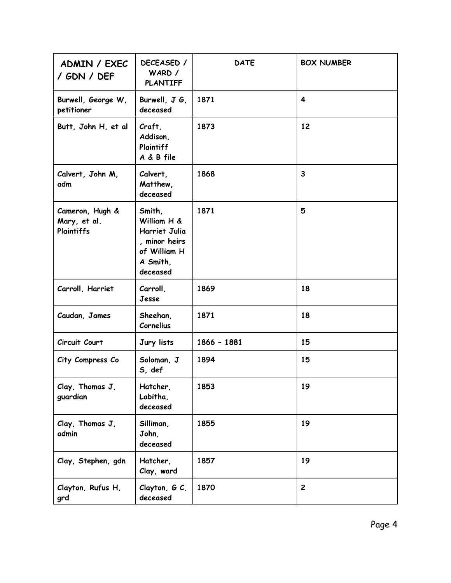| ADMIN / EXEC<br>/ GDN / DEF                   | DECEASED /<br>WARD /<br><b>PLANTIFF</b>                                                         | <b>DATE</b>   | <b>BOX NUMBER</b> |
|-----------------------------------------------|-------------------------------------------------------------------------------------------------|---------------|-------------------|
| Burwell, George W,<br>petitioner              | Burwell, $J G$ ,<br>deceased                                                                    | 1871          | 4                 |
| Butt, John H, et al                           | Craft,<br>Addison,<br>Plaintiff<br>A & B file                                                   | 1873          | 12                |
| Calvert, John M,<br>adm                       | Calvert,<br>Matthew,<br>deceased                                                                | 1868          | 3                 |
| Cameron, Hugh &<br>Mary, et al.<br>Plaintiffs | Smith,<br>William H &<br>Harriet Julia<br>, minor heirs<br>of William H<br>A Smith,<br>deceased | 1871          | 5                 |
| Carroll, Harriet                              | Carroll,<br>Jesse                                                                               | 1869          | 18                |
| Caudan, James                                 | Sheehan,<br>Cornelius                                                                           | 1871          | 18                |
| Circuit Court                                 | Jury lists                                                                                      | $1866 - 1881$ | 15                |
| City Compress Co                              | Soloman, J<br>S, def                                                                            | 1894          | 15                |
| Clay, Thomas J,<br>guardian                   | Hatcher,<br>Labitha,<br>deceased                                                                | 1853          | 19                |
| Clay, Thomas J,<br>admin                      | Silliman,<br>John,<br>deceased                                                                  | 1855          | 19                |
| Clay, Stephen, gdn                            | Hatcher,<br>Clay, ward                                                                          | 1857          | 19                |
| Clayton, Rufus H,<br>grd                      | Clayton, G C,<br>deceased                                                                       | 1870          | $\overline{c}$    |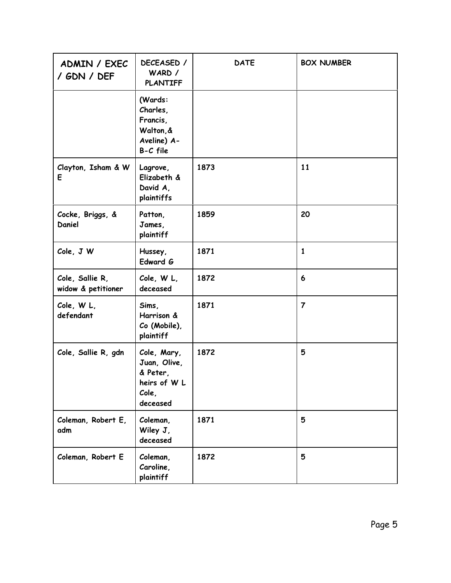| ADMIN / EXEC<br>/ GDN / DEF           | DECEASED /<br>WARD /<br><b>PLANTIFF</b>                                      | <b>DATE</b> | <b>BOX NUMBER</b> |
|---------------------------------------|------------------------------------------------------------------------------|-------------|-------------------|
|                                       | (Wards:<br>Charles,<br>Francis,<br>Walton, &<br>Aveline) A-<br>B-C file      |             |                   |
| Clayton, Isham & W<br>E               | Lagrove,<br>Elizabeth &<br>David A,<br>plaintiffs                            | 1873        | 11                |
| Cocke, Briggs, &<br>Daniel            | Patton,<br>James,<br>plaintiff                                               | 1859        | 20                |
| Cole, J W                             | Hussey,<br>Edward G                                                          | 1871        | $\mathbf{1}$      |
| Cole, Sallie R,<br>widow & petitioner | Cole, W L,<br>deceased                                                       | 1872        | 6                 |
| Cole, W L,<br>defendant               | Sims,<br>Harrison &<br>Co (Mobile),<br>plaintiff                             | 1871        | $\overline{7}$    |
| Cole, Sallie R, gdn                   | Cole, Mary,<br>Juan, Olive,<br>& Peter,<br>heirs of W L<br>Cole,<br>deceased | 1872        | 5                 |
| Coleman, Robert E,<br>adm             | Coleman,<br>Wiley J,<br>deceased                                             | 1871        | 5                 |
| Coleman, Robert E                     | Coleman,<br>Caroline,<br>plaintiff                                           | 1872        | 5                 |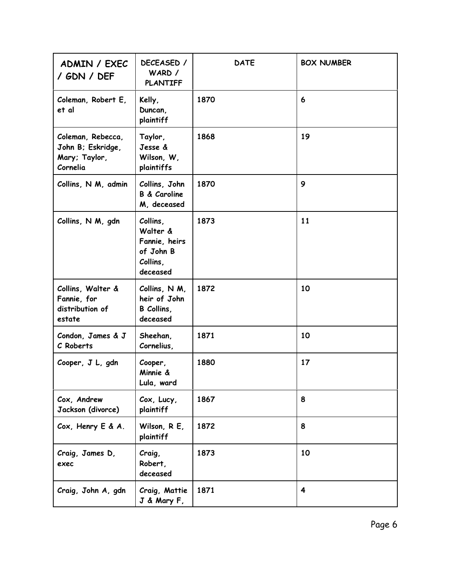| ADMIN / EXEC<br>/ GDN / DEF                                         | DECEASED /<br>WARD /<br><b>PLANTIFF</b>                                    | <b>DATE</b> | <b>BOX NUMBER</b>       |
|---------------------------------------------------------------------|----------------------------------------------------------------------------|-------------|-------------------------|
| Coleman, Robert E,<br>et al                                         | Kelly,<br>Duncan,<br>plaintiff                                             | 1870        | 6                       |
| Coleman, Rebecca,<br>John B; Eskridge,<br>Mary; Taylor,<br>Cornelia | Taylor,<br>Jesse &<br>Wilson, W,<br>plaintiffs                             | 1868        | 19                      |
| Collins, N M, admin                                                 | Collins, John<br><b>B &amp; Caroline</b><br>M, deceased                    | 1870        | 9                       |
| Collins, N M, gdn                                                   | Collins,<br>Walter &<br>Fannie, heirs<br>of John B<br>Collins,<br>deceased | 1873        | 11                      |
| Collins, Walter &<br>Fannie, for<br>distribution of<br>estate       | Collins, N M,<br>heir of John<br>B Collins,<br>deceased                    | 1872        | 10                      |
| Condon, James & J<br>C Roberts                                      | Sheehan,<br>Cornelius,                                                     | 1871        | 10                      |
| Cooper, J L, gdn                                                    | Cooper,<br>Minnie &<br>Lula, ward                                          | 1880        | 17                      |
| Cox, Andrew<br>Jackson (divorce)                                    | Cox, Lucy,<br>plaintiff                                                    | 1867        | 8                       |
| Cox, Henry E & A.                                                   | Wilson, R E,<br>plaintiff                                                  | 1872        | 8                       |
| Craig, James D,<br>exec                                             | Craig,<br>Robert,<br>deceased                                              | 1873        | 10                      |
| Craig, John A, gdn                                                  | Craig, Mattie<br>J & Mary F,                                               | 1871        | $\overline{\mathbf{4}}$ |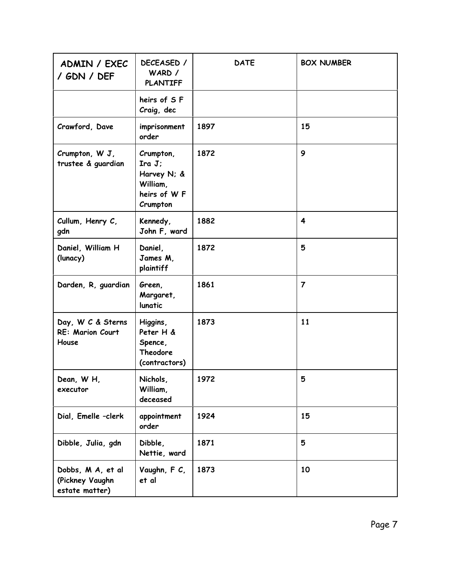| ADMIN / EXEC<br>/ GDN / DEF                            | DECEASED /<br>WARD /<br><b>PLANTIFF</b>                                  | <b>DATE</b> | <b>BOX NUMBER</b> |
|--------------------------------------------------------|--------------------------------------------------------------------------|-------------|-------------------|
|                                                        | heirs of SF<br>Craig, dec                                                |             |                   |
| Crawford, Dave                                         | imprisonment<br>order                                                    | 1897        | 15                |
| Crumpton, W J,<br>trustee & guardian                   | Crumpton,<br>IraJ;<br>Harvey N; &<br>William,<br>heirs of WF<br>Crumpton | 1872        | 9                 |
| Cullum, Henry C,<br>gdn                                | Kennedy,<br>John F, ward                                                 | 1882        | 4                 |
| Daniel, William H<br>(lunacy)                          | Daniel,<br>James M,<br>plaintiff                                         | 1872        | 5                 |
| Darden, R, guardian                                    | Green,<br>Margaret,<br>lunatic                                           | 1861        | $\overline{7}$    |
| Day, W C & Sterns<br><b>RE: Marion Court</b><br>House  | Higgins,<br>Peter H &<br>Spence,<br><b>Theodore</b><br>(contractors)     | 1873        | 11                |
| Dean, WH,<br>executor                                  | Nichols,<br>William,<br>deceased                                         | 1972        | 5                 |
| Dial, Emelle -clerk                                    | appointment<br>order                                                     | 1924        | 15                |
| Dibble, Julia, gdn                                     | Dibble,<br>Nettie, ward                                                  | 1871        | 5                 |
| Dobbs, M A, et al<br>(Pickney Vaughn<br>estate matter) | Vaughn, F C,<br>et al                                                    | 1873        | 10                |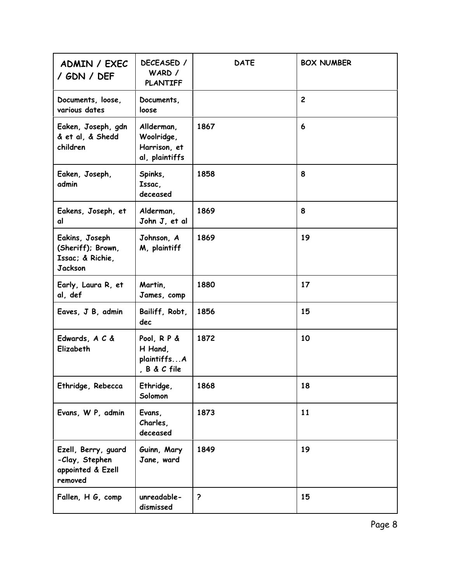| ADMIN / EXEC<br>/ GDN / DEF                                               | DECEASED /<br>WARD /<br><b>PLANTIFF</b>                    | <b>DATE</b>          | <b>BOX NUMBER</b> |
|---------------------------------------------------------------------------|------------------------------------------------------------|----------------------|-------------------|
| Documents, loose,<br>various dates                                        | Documents,<br>loose                                        |                      | $\overline{c}$    |
| Eaken, Joseph, gdn<br>& et al, & Shedd<br>children                        | Allderman,<br>Woolridge,<br>Harrison, et<br>al, plaintiffs | 1867                 | 6                 |
| Eaken, Joseph,<br>admin                                                   | Spinks,<br>Issac,<br>deceased                              | 1858                 | 8                 |
| Eakens, Joseph, et<br>al                                                  | Alderman,<br>John J, et al                                 | 1869                 | 8                 |
| Eakins, Joseph<br>(Sheriff); Brown,<br>Issac; & Richie,<br><b>Jackson</b> | Johnson, A<br>M, plaintiff                                 | 1869                 | 19                |
| Early, Laura R, et<br>al, def                                             | Martin,<br>James, comp                                     | 1880                 | 17                |
| Eaves, J B, admin                                                         | Bailiff, Robt,<br>dec                                      | 1856                 | 15                |
| Edwards, A C &<br>Elizabeth                                               | Pool, RP &<br>H Hand,<br>plaintiffsA<br>, B & C file       | 1872                 | 10                |
| Ethridge, Rebecca                                                         | Ethridge,<br>Solomon                                       | 1868                 | 18                |
| Evans, W P, admin                                                         | Evans,<br>Charles,<br>deceased                             | 1873                 | 11                |
| Ezell, Berry, guard<br>-Clay, Stephen<br>appointed & Ezell<br>removed     | Guinn, Mary<br>Jane, ward                                  | 1849                 | 19                |
| Fallen, H G, comp                                                         | unreadable-<br>dismissed                                   | $\ddot{\phantom{0}}$ | 15                |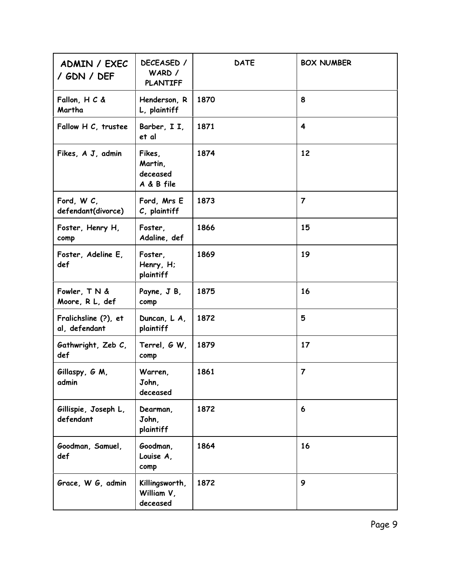| ADMIN / EXEC<br>/ GDN / DEF           | DECEASED /<br>WARD /<br><b>PLANTIFF</b>     | <b>DATE</b> | <b>BOX NUMBER</b>       |
|---------------------------------------|---------------------------------------------|-------------|-------------------------|
| Fallon, H C &<br>Martha               | Henderson, R<br>L, plaintiff                | 1870        | 8                       |
| Fallow H C, trustee                   | Barber, I I,<br>et al                       | 1871        | 4                       |
| Fikes, A J, admin                     | Fikes,<br>Martin,<br>deceased<br>A & B file | 1874        | 12                      |
| Ford, W C,<br>defendant(divorce)      | Ford, Mrs E<br>C, plaintiff                 | 1873        | 7                       |
| Foster, Henry H,<br>comp              | Foster,<br>Adaline, def                     | 1866        | 15                      |
| Foster, Adeline E,<br>def             | Foster,<br>Henry, H;<br>plaintiff           | 1869        | 19                      |
| Fowler, TN &<br>Moore, R L, def       | Payne, J B,<br>comp                         | 1875        | 16                      |
| Fralichsline (?), et<br>al, defendant | Duncan, L A,<br>plaintiff                   | 1872        | 5                       |
| Gathwright, Zeb C,<br>def             | Terrel, G W,<br>comp                        | 1879        | 17                      |
| Gillaspy, G M,<br>admin               | Warren,<br>John,<br>deceased                | 1861        | $\overline{\mathbf{z}}$ |
| Gillispie, Joseph L,<br>defendant     | Dearman,<br>John,<br>plaintiff              | 1872        | 6                       |
| Goodman, Samuel,<br>def               | Goodman,<br>Louise A,<br>comp               | 1864        | 16                      |
| Grace, W G, admin                     | Killingsworth,<br>William V,<br>deceased    | 1872        | 9                       |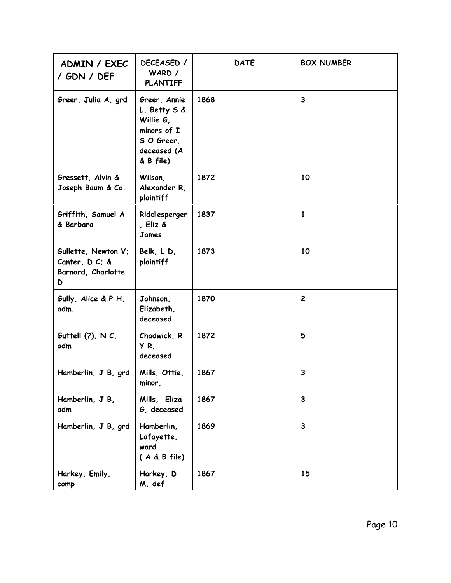| ADMIN / EXEC<br>/ GDN / DEF                                      | DECEASED /<br>WARD /<br><b>PLANTIFF</b>                                                            | <b>DATE</b> | <b>BOX NUMBER</b> |
|------------------------------------------------------------------|----------------------------------------------------------------------------------------------------|-------------|-------------------|
| Greer, Julia A, grd                                              | Greer, Annie<br>L, Betty S &<br>Willie G,<br>minors of I<br>S O Greer,<br>deceased (A<br>& B file) | 1868        | $\mathbf{3}$      |
| Gressett, Alvin &<br>Joseph Baum & Co.                           | Wilson,<br>Alexander R,<br>plaintiff                                                               | 1872        | 10                |
| Griffith, Samuel A<br>& Barbara                                  | Riddlesperger<br>, Eliz &<br>James                                                                 | 1837        | 1                 |
| Gullette, Newton V;<br>Canter, D C; &<br>Barnard, Charlotte<br>D | Belk, LD,<br>plaintiff                                                                             | 1873        | 10                |
| Gully, Alice & P H,<br>adm.                                      | Johnson,<br>Elizabeth,<br>deceased                                                                 | 1870        | $\overline{c}$    |
| Guttell $(?)$ , N $C$ ,<br>adm                                   | Chadwick, R<br>YR.<br>deceased                                                                     | 1872        | 5                 |
| Hamberlin, J B, grd                                              | Mills, Ottie,<br>minor,                                                                            | 1867        | $\mathbf{3}$      |
| Hamberlin, J B,<br>adm                                           | Mills, Eliza<br>G, deceased                                                                        | 1867        | $\mathbf{3}$      |
| Hamberlin, J B, grd                                              | Hamberlin,<br>Lafayette,<br>ward<br>$(A & B$ file)                                                 | 1869        | $\mathbf{3}$      |
| Harkey, Emily,<br>comp                                           | Harkey, D<br>M, def                                                                                | 1867        | 15                |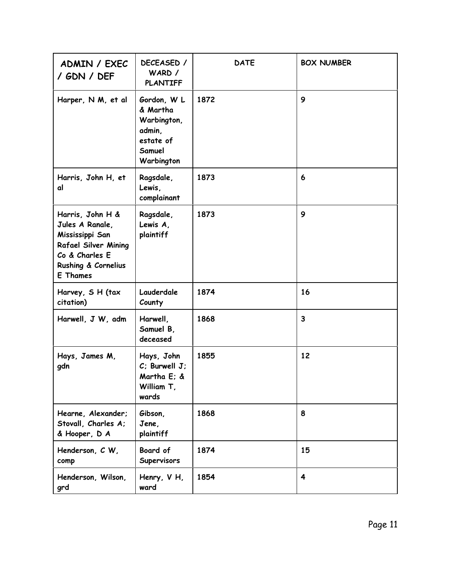| ADMIN / EXEC<br>/ GDN / DEF                                                                                                                | DECEASED /<br>WARD /<br><b>PLANTIFF</b>                                               | <b>DATE</b> | <b>BOX NUMBER</b>       |
|--------------------------------------------------------------------------------------------------------------------------------------------|---------------------------------------------------------------------------------------|-------------|-------------------------|
| Harper, N M, et al                                                                                                                         | Gordon, W L<br>& Martha<br>Warbington,<br>admin,<br>estate of<br>Samuel<br>Warbington | 1872        | 9                       |
| Harris, John H, et<br>al                                                                                                                   | Ragsdale,<br>Lewis,<br>complainant                                                    | 1873        | 6                       |
| Harris, John H &<br>Jules A Ranale,<br>Mississippi San<br><b>Rafael Silver Mining</b><br>Co & Charles E<br>Rushing & Cornelius<br>E Thames | Ragsdale,<br>Lewis A,<br>plaintiff                                                    | 1873        | 9                       |
| Harvey, S H (tax<br>citation)                                                                                                              | Lauderdale<br>County                                                                  | 1874        | 16                      |
| Harwell, J W, adm                                                                                                                          | Harwell,<br>Samuel B,<br>deceased                                                     | 1868        | 3                       |
| Hays, James M,<br>gdn                                                                                                                      | Hays, John<br>$C$ ; Burwell $J$ ;<br>Martha E; &<br>William T,<br>wards               | 1855        | 12                      |
| Hearne, Alexander;<br>Stovall, Charles A;<br>& Hooper, D A                                                                                 | Gibson,<br>Jene,<br>plaintiff                                                         | 1868        | 8                       |
| Henderson, C W,<br>comp                                                                                                                    | Board of<br>Supervisors                                                               | 1874        | 15                      |
| Henderson, Wilson,<br>grd                                                                                                                  | Henry, V H,<br>ward                                                                   | 1854        | $\overline{\mathbf{4}}$ |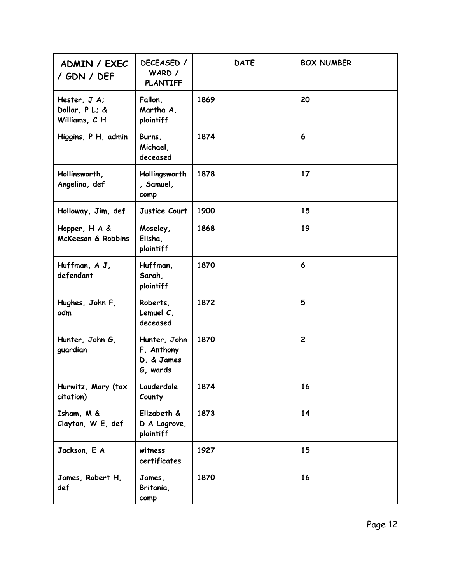| ADMIN / EXEC<br>/ GDN / DEF                    | DECEASED /<br>WARD /<br><b>PLANTIFF</b>              | <b>DATE</b> | <b>BOX NUMBER</b> |
|------------------------------------------------|------------------------------------------------------|-------------|-------------------|
| Hester, J A;<br>Dollar, P L; &<br>Williams, CH | Fallon,<br>Martha A,<br>plaintiff                    | 1869        | 20                |
| Higgins, P H, admin                            | Burns,<br>Michael,<br>deceased                       | 1874        | 6                 |
| Hollinsworth,<br>Angelina, def                 | Hollingsworth<br>, Samuel,<br>comp                   | 1878        | 17                |
| Holloway, Jim, def                             | Justice Court                                        | 1900        | 15                |
| Hopper, H A &<br><b>McKeeson &amp; Robbins</b> | Moseley,<br>Elisha,<br>plaintiff                     | 1868        | 19                |
| Huffman, A J,<br>defendant                     | Huffman,<br>Sarah,<br>plaintiff                      | 1870        | 6                 |
| Hughes, John F,<br>adm                         | Roberts,<br>Lemuel $C$ ,<br>deceased                 | 1872        | 5                 |
| Hunter, John G,<br>guardian                    | Hunter, John<br>F, Anthony<br>D. & James<br>G, wards | 1870        | $\overline{2}$    |
| Hurwitz, Mary (tax<br>citation)                | Lauderdale<br>County                                 | 1874        | 16                |
| Isham, M &<br>Clayton, W E, def                | Elizabeth &<br>D A Lagrove,<br>plaintiff             | 1873        | 14                |
| Jackson, E A                                   | witness<br>certificates                              | 1927        | 15                |
| James, Robert H,<br>def                        | James,<br>Britania,<br>comp                          | 1870        | 16                |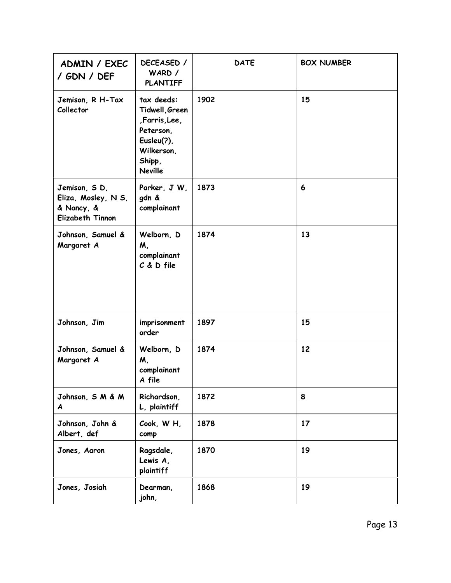| ADMIN / EXEC<br>/ GDN / DEF                                                  | DECEASED /<br>WARD /<br><b>PLANTIFF</b>                                                                           | <b>DATE</b> | <b>BOX NUMBER</b> |
|------------------------------------------------------------------------------|-------------------------------------------------------------------------------------------------------------------|-------------|-------------------|
| Jemison, R H-Tax<br>Collector                                                | tax deeds:<br>Tidwell, Green<br>,Farris,Lee,<br>Peterson,<br>Eusleu(?),<br>Wilkerson,<br>Shipp,<br><b>Neville</b> | 1902        | 15                |
| Jemison, SD,<br>Eliza, Mosley, N S,<br>& Nancy, &<br><b>Elizabeth Tinnon</b> | Parker, J W,<br>gdn &<br>complainant                                                                              | 1873        | 6                 |
| Johnson, Samuel &<br>Margaret A                                              | Welborn, D<br>M,<br>complainant<br>C & D file                                                                     | 1874        | 13                |
| Johnson, Jim                                                                 | imprisonment<br>order                                                                                             | 1897        | 15                |
| Johnson, Samuel &<br>Margaret A                                              | Welborn, D<br>M,<br>complainant<br>A file                                                                         | 1874        | 12                |
| Johnson, S M & M<br>A                                                        | Richardson,<br>L, plaintiff                                                                                       | 1872        | 8                 |
| Johnson, John &<br>Albert, def                                               | Cook, WH,<br>comp                                                                                                 | 1878        | 17                |
| Jones, Aaron                                                                 | Ragsdale,<br>Lewis A,<br>plaintiff                                                                                | 1870        | 19                |
| Jones, Josiah                                                                | Dearman,<br>john,                                                                                                 | 1868        | 19                |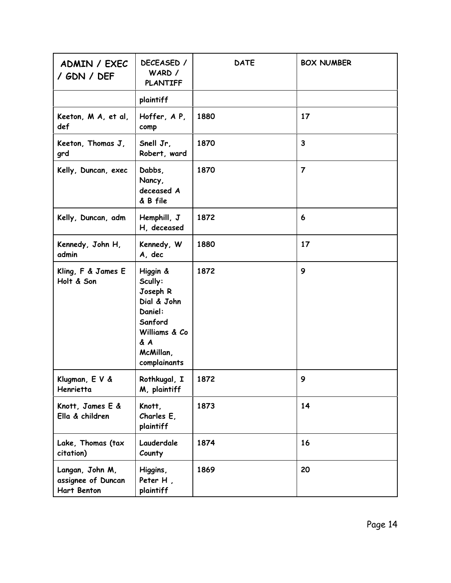| ADMIN / EXEC<br>/ GDN / DEF                                 | DECEASED /<br>WARD /<br><b>PLANTIFF</b>                                                                                   | <b>DATE</b> | <b>BOX NUMBER</b>       |
|-------------------------------------------------------------|---------------------------------------------------------------------------------------------------------------------------|-------------|-------------------------|
|                                                             | plaintiff                                                                                                                 |             |                         |
| Keeton, M A, et al,<br>def                                  | Hoffer, AP,<br>comp                                                                                                       | 1880        | 17                      |
| Keeton, Thomas J,<br>grd                                    | Snell Jr.<br>Robert, ward                                                                                                 | 1870        | $\overline{\mathbf{3}}$ |
| Kelly, Duncan, exec                                         | Dabbs,<br>Nancy,<br>deceased A<br>& B file                                                                                | 1870        | $\overline{\mathbf{z}}$ |
| Kelly, Duncan, adm                                          | Hemphill, J<br>H, deceased                                                                                                | 1872        | 6                       |
| Kennedy, John H,<br>admin                                   | Kennedy, W<br>A, dec                                                                                                      | 1880        | 17                      |
| Kling, F & James E<br>Holt & Son                            | Higgin &<br>Scully:<br>Joseph R<br>Dial & John<br>Daniel:<br>Sanford<br>Williams & Co<br>& A<br>McMillan,<br>complainants | 1872        | 9                       |
| Klugman, E V &<br>Henrietta                                 | Rothkugal, I<br>M, plaintiff                                                                                              | 1872        | 9                       |
| Knott, James E &<br>Ella & children                         | Knott,<br>Charles E,<br>plaintiff                                                                                         | 1873        | 14                      |
| Lake, Thomas (tax<br>citation)                              | Lauderdale<br>County                                                                                                      | 1874        | 16                      |
| Langan, John M,<br>assignee of Duncan<br><b>Hart Benton</b> | Higgins,<br>Peter H,<br>plaintiff                                                                                         | 1869        | 20                      |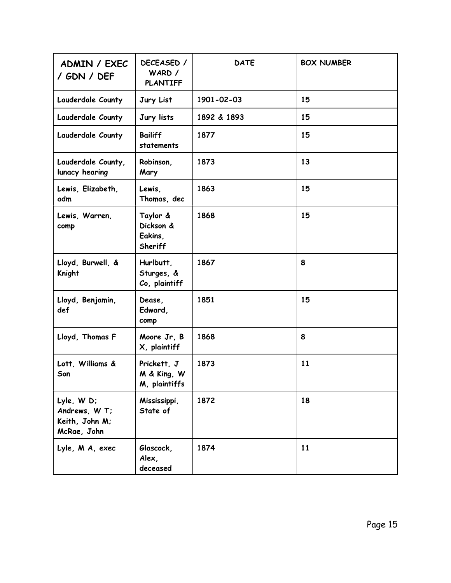| ADMIN / EXEC<br>/ GDN / DEF                                 | DECEASED /<br>WARD /<br><b>PLANTIFF</b>            | <b>DATE</b> | <b>BOX NUMBER</b> |
|-------------------------------------------------------------|----------------------------------------------------|-------------|-------------------|
| Lauderdale County                                           | Jury List                                          | 1901-02-03  | 15                |
| Lauderdale County                                           | Jury lists                                         | 1892 & 1893 | 15                |
| Lauderdale County                                           | <b>Bailiff</b><br>statements                       | 1877        | 15                |
| Lauderdale County,<br>lunacy hearing                        | Robinson,<br>Mary                                  | 1873        | 13                |
| Lewis, Elizabeth,<br>adm                                    | Lewis,<br>Thomas, dec                              | 1863        | 15                |
| Lewis, Warren,<br>comp                                      | Taylor &<br>Dickson &<br>Eakins,<br><b>Sheriff</b> | 1868        | 15                |
| Lloyd, Burwell, &<br><b>Knight</b>                          | Hurlbutt,<br>Sturges, &<br>Co, plaintiff           | 1867        | 8                 |
| Lloyd, Benjamin,<br>def                                     | Dease,<br>Edward,<br>comp                          | 1851        | 15                |
| Lloyd, Thomas F                                             | Moore Jr, B<br>X, plaintiff                        | 1868        | 8                 |
| Lott, Williams &<br>Son                                     | Prickett, J<br>M & King, W<br>M, plaintiffs        | 1873        | 11                |
| Lyle, WD;<br>Andrews, W T;<br>Keith, John M;<br>McRae, John | Mississippi,<br>State of                           | 1872        | 18                |
| Lyle, M A, exec                                             | Glascock,<br>Alex,<br>deceased                     | 1874        | 11                |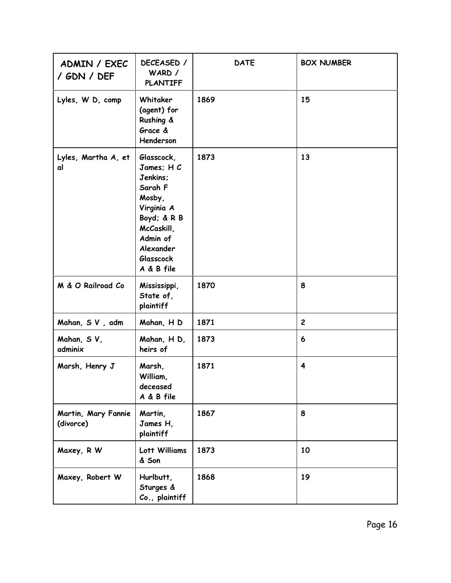| ADMIN / EXEC<br>/ GDN / DEF      | DECEASED /<br>WARD /<br><b>PLANTIFF</b>                                                                                                                         | <b>DATE</b> | <b>BOX NUMBER</b>       |
|----------------------------------|-----------------------------------------------------------------------------------------------------------------------------------------------------------------|-------------|-------------------------|
| Lyles, W D, comp                 | Whitaker<br>(agent) for<br>Rushing &<br>Grace &<br>Henderson                                                                                                    | 1869        | 15                      |
| Lyles, Martha A, et<br>al        | Glasscock,<br>James; H C<br>Jenkins;<br>Sarah F<br>Mosby,<br>Virginia A<br>Boyd; & R B<br>McCaskill,<br>Admin of<br>Alexander<br><b>Glasscock</b><br>A & B file | 1873        | 13                      |
| M & O Railroad Co                | Mississippi,<br>State of,<br>plaintiff                                                                                                                          | 1870        | 8                       |
| Mahan, SV, adm                   | Mahan, H D                                                                                                                                                      | 1871        | $\mathbf{2}$            |
| Mahan, SV,<br>adminix            | Mahan, H D,<br>heirs of                                                                                                                                         | 1873        | 6                       |
| Marsh, Henry J                   | Marsh,<br>William,<br>deceased<br>A & B file                                                                                                                    | 1871        | $\overline{\mathbf{4}}$ |
| Martin, Mary Fannie<br>(divorce) | Martin,<br>James H,<br>plaintiff                                                                                                                                | 1867        | 8                       |
| Maxey, R W                       | Lott Williams<br>& Son                                                                                                                                          | 1873        | 10                      |
| Maxey, Robert W                  | Hurlbutt,<br>Sturges &<br>Co., plaintiff                                                                                                                        | 1868        | 19                      |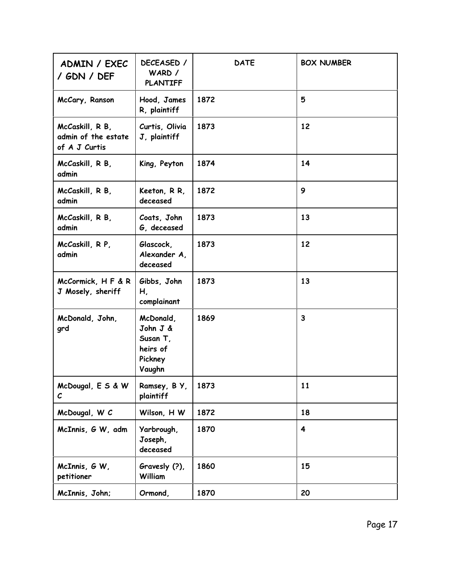| ADMIN / EXEC<br>/ GDN / DEF                             | DECEASED /<br>WARD /<br><b>PLANTIFF</b>                            | <b>DATE</b> | <b>BOX NUMBER</b> |
|---------------------------------------------------------|--------------------------------------------------------------------|-------------|-------------------|
| McCary, Ranson                                          | Hood, James<br>R, plaintiff                                        | 1872        | 5                 |
| McCaskill, R B,<br>admin of the estate<br>of A J Curtis | Curtis, Olivia<br>J, plaintiff                                     | 1873        | 12                |
| McCaskill, R B,<br>admin                                | King, Peyton                                                       | 1874        | 14                |
| McCaskill, R B,<br>admin                                | Keeton, R R,<br>deceased                                           | 1872        | 9                 |
| McCaskill, R B,<br>admin                                | Coats, John<br>G, deceased                                         | 1873        | 13                |
| McCaskill, R P,<br>admin                                | Glascock,<br>Alexander A,<br>deceased                              | 1873        | 12                |
| McCormick, H F & R<br>J Mosely, sheriff                 | Gibbs, John<br>Н,<br>complainant                                   | 1873        | 13                |
| McDonald, John,<br>grd                                  | McDonald,<br>John J &<br>Susan T,<br>heirs of<br>Pickney<br>Vaughn | 1869        | 3                 |
| McDougal, E S & W<br>$\mathcal C$                       | Ramsey, B Y,<br>plaintiff                                          | 1873        | 11                |
| McDougal, W C                                           | Wilson, H W                                                        | 1872        | 18                |
| McInnis, G W, adm                                       | Yarbrough,<br>Joseph,<br>deceased                                  | 1870        | 4                 |
| McInnis, G W,<br>petitioner                             | Gravesly (?),<br>William                                           | 1860        | 15                |
| McInnis, John;                                          | Ormond,                                                            | 1870        | 20                |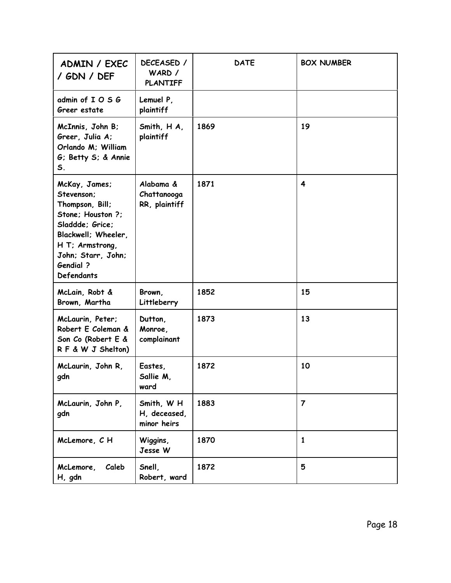| ADMIN / EXEC<br>/ GDN / DEF                                                                                                                                                                     | DECEASED /<br>WARD /<br><b>PLANTIFF</b>   | <b>DATE</b> | <b>BOX NUMBER</b> |
|-------------------------------------------------------------------------------------------------------------------------------------------------------------------------------------------------|-------------------------------------------|-------------|-------------------|
| admin of IOSG<br>Greer estate                                                                                                                                                                   | Lemuel P.<br>plaintiff                    |             |                   |
| McInnis, John B;<br>Greer, Julia A:<br>Orlando M; William<br>G: Betty S; & Annie<br>S <sub>1</sub>                                                                                              | Smith, H A,<br>plaintiff                  | 1869        | 19                |
| McKay, James;<br>Stevenson;<br>Thompson, Bill;<br>Stone: Houston ?:<br>Sladdde; Grice;<br>Blackwell; Wheeler,<br>H T; Armstrong,<br>John; Starr, John;<br><b>Gendial</b> ?<br><b>Defendants</b> | Alabama &<br>Chattanooga<br>RR, plaintiff | 1871        | 4                 |
| McLain, Robt &<br>Brown, Martha                                                                                                                                                                 | Brown,<br>Littleberry                     | 1852        | 15                |
| McLaurin, Peter;<br>Robert E Coleman &<br>Son Co (Robert E &<br>RF & W J Shelton)                                                                                                               | Dutton,<br>Monroe,<br>complainant         | 1873        | 13                |
| McLaurin, John R.<br>gdn                                                                                                                                                                        | Eastes,<br>Sallie M,<br>ward              | 1872        | 10                |
| McLaurin, John P,<br>gdn                                                                                                                                                                        | Smith, WH<br>H, deceased,<br>minor heirs  | 1883        | $\overline{7}$    |
| McLemore, CH                                                                                                                                                                                    | Wiggins,<br>Jesse W                       | 1870        | 1                 |
| Caleb<br>McLemore,<br>H, gdn                                                                                                                                                                    | Snell,<br>Robert, ward                    | 1872        | 5                 |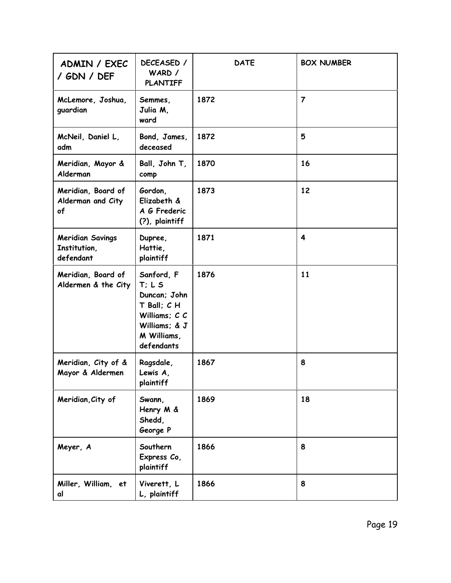| ADMIN / EXEC<br>/ GDN / DEF                          | DECEASED /<br>WARD /<br><b>PLANTIFF</b>                                                                                | <b>DATE</b> | <b>BOX NUMBER</b>       |
|------------------------------------------------------|------------------------------------------------------------------------------------------------------------------------|-------------|-------------------------|
| McLemore, Joshua,<br>guardian                        | Semmes,<br>Julia M,<br>ward                                                                                            | 1872        | $\overline{\mathbf{z}}$ |
| McNeil, Daniel L,<br>adm                             | Bond, James,<br>deceased                                                                                               | 1872        | 5                       |
| Meridian, Mayor &<br>Alderman                        | Ball, John T,<br>comp                                                                                                  | 1870        | 16                      |
| Meridian, Board of<br>Alderman and City<br>of        | Gordon,<br>Elizabeth &<br>A G Frederic<br>(?), plaintiff                                                               | 1873        | 12                      |
| <b>Meridian Savings</b><br>Institution,<br>defendant | Dupree,<br>Hattie,<br>plaintiff                                                                                        | 1871        | 4                       |
| Meridian, Board of<br>Aldermen & the City            | Sanford, F<br>T: L S<br>Duncan; John<br>$T$ Ball; $C$ H<br>Williams; C C<br>Williams; & J<br>M Williams,<br>defendants | 1876        | 11                      |
| Meridian, City of &<br>Mayor & Aldermen              | Ragsdale,<br>Lewis A,<br>plaintiff                                                                                     | 1867        | 8                       |
| Meridian, City of                                    | Swann,<br>Henry M &<br>Shedd,<br>George P                                                                              | 1869        | 18                      |
| Meyer, A                                             | Southern<br>Express Co,<br>plaintiff                                                                                   | 1866        | 8                       |
| Miller, William, et<br>αl                            | Viverett, L<br>L, plaintiff                                                                                            | 1866        | 8                       |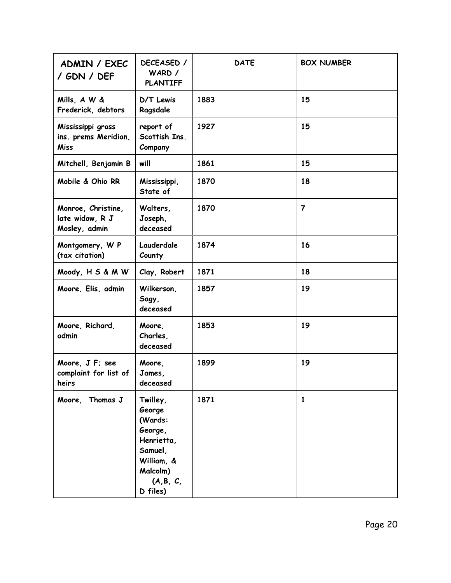| ADMIN / EXEC<br>/ GDN / DEF                              | DECEASED /<br>WARD /<br><b>PLANTIFF</b>                                                                            | <b>DATE</b> | <b>BOX NUMBER</b> |
|----------------------------------------------------------|--------------------------------------------------------------------------------------------------------------------|-------------|-------------------|
| Mills, A W &<br>Frederick, debtors                       | D/T Lewis<br>Ragsdale                                                                                              | 1883        | 15                |
| Mississippi gross<br>ins. prems Meridian,<br><b>Miss</b> | report of<br>Scottish Ins.<br>Company                                                                              | 1927        | 15                |
| Mitchell, Benjamin B                                     | will                                                                                                               | 1861        | 15                |
| Mobile & Ohio RR                                         | Mississippi,<br>State of                                                                                           | 1870        | 18                |
| Monroe, Christine,<br>late widow, R J<br>Mosley, admin   | Walters,<br>Joseph,<br>deceased                                                                                    | 1870        | $\overline{7}$    |
| Montgomery, W P<br>(tax citation)                        | Lauderdale<br>County                                                                                               | 1874        | 16                |
| Moody, H S & M W                                         | Clay, Robert                                                                                                       | 1871        | 18                |
| Moore, Elis, admin                                       | Wilkerson,<br>Sagy,<br>deceased                                                                                    | 1857        | 19                |
| Moore, Richard,<br>admin                                 | Moore,<br>Charles,<br>deceased                                                                                     | 1853        | 19                |
| Moore, J F; see<br>complaint for list of<br>heirs        | Moore,<br>James,<br>deceased                                                                                       | 1899        | 19                |
| Moore, Thomas J                                          | Twilley,<br>George<br>(Wards:<br>George,<br>Henrietta,<br>Samuel,<br>William, &<br>Malcolm)<br>(A,B,C,<br>D files) | 1871        | $\mathbf{1}$      |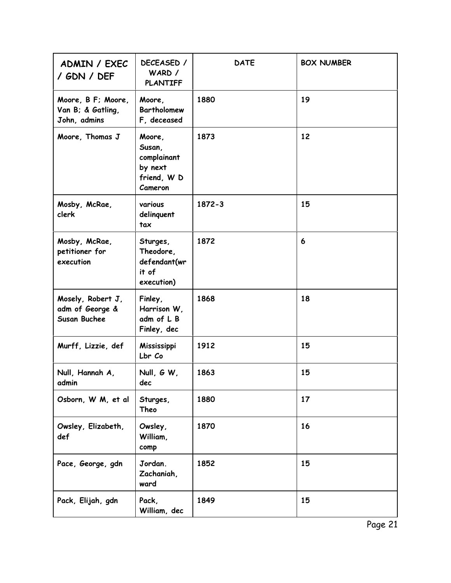| ADMIN / EXEC<br>/ GDN / DEF                                 | DECEASED /<br>WARD /<br><b>PLANTIFF</b>                              | <b>DATE</b> | <b>BOX NUMBER</b> |
|-------------------------------------------------------------|----------------------------------------------------------------------|-------------|-------------------|
| Moore, B F; Moore,<br>Van B; & Gatling,<br>John, admins     | Moore,<br><b>Bartholomew</b><br>F, deceased                          | 1880        | 19                |
| Moore, Thomas J                                             | Moore,<br>Susan,<br>complainant<br>by next<br>friend, W D<br>Cameron | 1873        | 12                |
| Mosby, McRae,<br>clerk                                      | various<br>delinquent<br>tax                                         | 1872-3      | 15                |
| Mosby, McRae,<br>petitioner for<br>execution                | Sturges,<br>Theodore,<br>defendant(wr<br>it of<br>execution)         | 1872        | 6                 |
| Mosely, Robert J,<br>adm of George &<br><b>Susan Buchee</b> | Finley,<br>Harrison W,<br>adm of L B<br>Finley, dec                  | 1868        | 18                |
| Murff, Lizzie, def                                          | Mississippi<br>Lbr Co                                                | 1912        | 15                |
| Null, Hannah A,<br>admin                                    | Null, G W,<br>dec                                                    | 1863        | 15                |
| Osborn, W M, et al                                          | Sturges,<br>Theo                                                     | 1880        | 17                |
| Owsley, Elizabeth,<br>def                                   | Owsley,<br>William,<br>comp                                          | 1870        | 16                |
| Pace, George, gdn                                           | Jordan.<br>Zachaniah,<br>ward                                        | 1852        | 15                |
| Pack, Elijah, gdn                                           | Pack,<br>William, dec                                                | 1849        | 15                |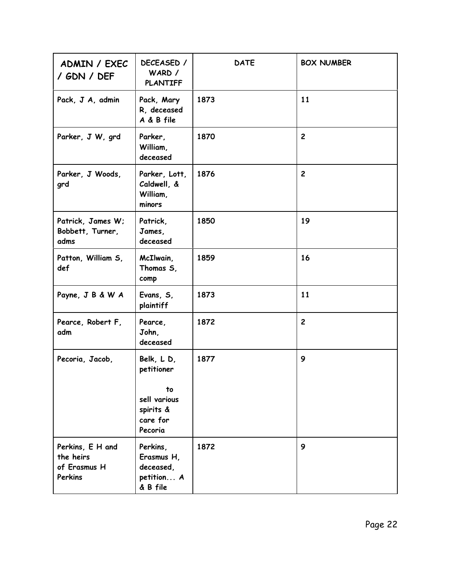| ADMIN / EXEC<br>/ GDN / DEF                              | DECEASED /<br>WARD /<br><b>PLANTIFF</b>                       | <b>DATE</b> | <b>BOX NUMBER</b> |
|----------------------------------------------------------|---------------------------------------------------------------|-------------|-------------------|
| Pack, J A, admin                                         | Pack, Mary<br>R, deceased<br>A & B file                       | 1873        | 11                |
| Parker, J W, grd                                         | Parker,<br>William,<br>deceased                               | 1870        | $\overline{2}$    |
| Parker, J Woods,<br>grd                                  | Parker, Lott,<br>Caldwell, &<br>William,<br>minors            | 1876        | $\overline{2}$    |
| Patrick, James W;<br>Bobbett, Turner,<br>adms            | Patrick,<br>James,<br>deceased                                | 1850        | 19                |
| Patton, William S,<br>def                                | McIlwain,<br>Thomas S,<br>comp                                | 1859        | 16                |
| Payne, J B & W A                                         | Evans, S,<br>plaintiff                                        | 1873        | 11                |
| Pearce, Robert F,<br>adm                                 | Pearce,<br>John,<br>deceased                                  | 1872        | $\overline{2}$    |
| Pecoria, Jacob,                                          | Belk, LD,<br>petitioner                                       | 1877        | 9                 |
|                                                          | to<br>sell various<br>spirits &<br>care for<br>Pecoria        |             |                   |
| Perkins, E H and<br>the heirs<br>of Erasmus H<br>Perkins | Perkins,<br>Erasmus H,<br>deceased,<br>petition A<br>& B file | 1872        | 9                 |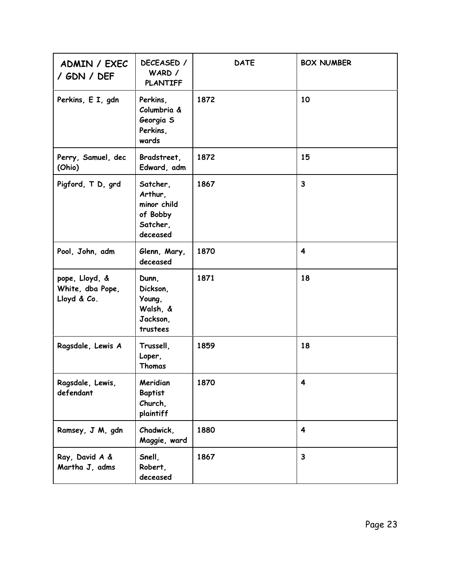| ADMIN / EXEC<br>/ GDN / DEF                       | DECEASED /<br>WARD /<br><b>PLANTIFF</b>                                | <b>DATE</b> | <b>BOX NUMBER</b>       |
|---------------------------------------------------|------------------------------------------------------------------------|-------------|-------------------------|
| Perkins, E I, gdn                                 | Perkins,<br>Columbria &<br>Georgia S<br>Perkins,<br>wards              | 1872        | 10                      |
| Perry, Samuel, dec<br>(Ohio)                      | Bradstreet,<br>Edward, adm                                             | 1872        | 15                      |
| Pigford, T D, grd                                 | Satcher,<br>Arthur,<br>minor child<br>of Bobby<br>Satcher,<br>deceased | 1867        | $\overline{\mathbf{3}}$ |
| Pool, John, adm                                   | Glenn, Mary,<br>deceased                                               | 1870        | 4                       |
| pope, Lloyd, &<br>White, dba Pope,<br>Lloyd & Co. | Dunn,<br>Dickson,<br>Young,<br>Walsh, &<br>Jackson,<br>trustees        | 1871        | 18                      |
| Ragsdale, Lewis A                                 | Trussell,<br>Loper,<br>Thomas                                          | 1859        | 18                      |
| Ragsdale, Lewis,<br>defendant                     | Meridian<br><b>Baptist</b><br>Church,<br>plaintiff                     | 1870        | 4                       |
| Ramsey, J M, gdn                                  | Chadwick,<br>Maggie, ward                                              | 1880        | $\overline{\mathbf{4}}$ |
| Ray, David A &<br>Martha J, adms                  | Snell,<br>Robert,<br>deceased                                          | 1867        | $\mathbf{3}$            |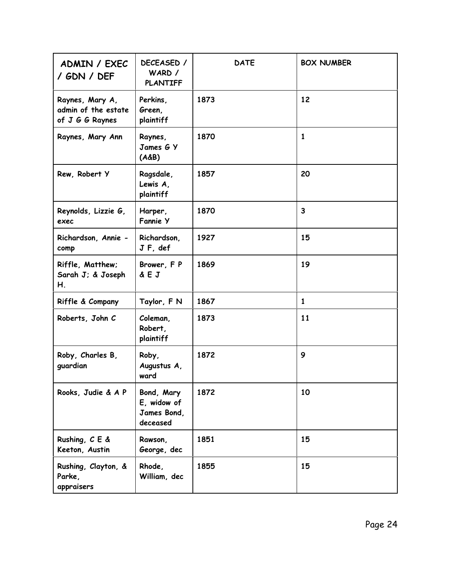| ADMIN / EXEC<br>/ GDN / DEF                               | DECEASED /<br>WARD /<br><b>PLANTIFF</b>              | <b>DATE</b> | <b>BOX NUMBER</b>       |
|-----------------------------------------------------------|------------------------------------------------------|-------------|-------------------------|
| Raynes, Mary A,<br>admin of the estate<br>of J G G Raynes | Perkins,<br>Green,<br>plaintiff                      | 1873        | 12                      |
| Raynes, Mary Ann                                          | Raynes,<br>James G Y<br>$(A\&B)$                     | 1870        | 1                       |
| Rew, Robert Y                                             | Ragsdale,<br>Lewis A,<br>plaintiff                   | 1857        | 20                      |
| Reynolds, Lizzie G,<br>exec                               | Harper,<br><b>Fannie Y</b>                           | 1870        | $\overline{\mathbf{3}}$ |
| Richardson, Annie -<br>comp                               | Richardson,<br>JF, def                               | 1927        | 15                      |
| Riffle, Matthew;<br>Sarah J; & Joseph<br>Η.               | Brower, FP<br>& E J                                  | 1869        | 19                      |
| Riffle & Company                                          | Taylor, F N                                          | 1867        | 1                       |
| Roberts, John C                                           | Coleman,<br>Robert,<br>plaintiff                     | 1873        | 11                      |
| Roby, Charles B,<br>guardian                              | Roby,<br>Augustus A,<br>ward                         | 1872        | 9                       |
| Rooks, Judie & A P                                        | Bond, Mary<br>E, widow of<br>James Bond,<br>deceased | 1872        | 10                      |
| Rushing, C E &<br>Keeton, Austin                          | Rawson,<br>George, dec                               | 1851        | 15                      |
| Rushing, Clayton, &<br>Parke,<br>appraisers               | Rhode,<br>William, dec                               | 1855        | 15                      |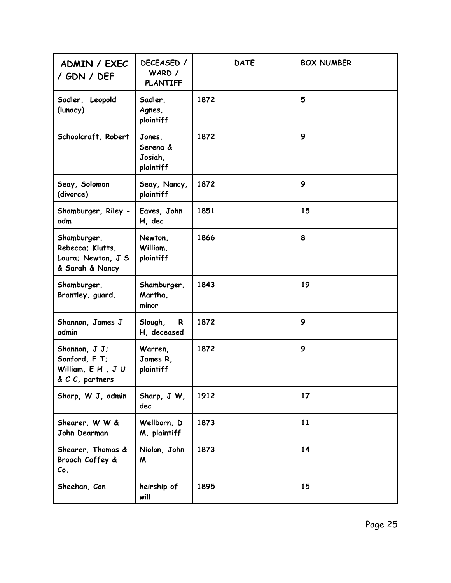| ADMIN / EXEC<br>/ GDN / DEF                                              | DECEASED /<br>WARD /<br><b>PLANTIFF</b>    | <b>DATE</b> | <b>BOX NUMBER</b> |
|--------------------------------------------------------------------------|--------------------------------------------|-------------|-------------------|
| Sadler, Leopold<br>(lunacy)                                              | Sadler,<br>Agnes,<br>plaintiff             | 1872        | 5                 |
| Schoolcraft, Robert                                                      | Jones,<br>Serena &<br>Josiah,<br>plaintiff | 1872        | 9                 |
| Seay, Solomon<br>(divorce)                                               | Seay, Nancy,<br>plaintiff                  | 1872        | 9                 |
| Shamburger, Riley -<br>adm                                               | Eaves, John<br>H, dec                      | 1851        | 15                |
| Shamburger,<br>Rebecca; Klutts,<br>Laura; Newton, J S<br>& Sarah & Nancy | Newton,<br>William,<br>plaintiff           | 1866        | 8                 |
| Shamburger,<br>Brantley, guard.                                          | Shamburger,<br>Martha,<br>minor            | 1843        | 19                |
| Shannon, James J<br>admin                                                | Slough,<br>R<br>H, deceased                | 1872        | 9                 |
| Shannon, J J;<br>Sanford, F T;<br>William, E H, JU<br>& C C, partners    | Warren,<br>James R,<br>plaintiff           | 1872        | 9                 |
| Sharp, W J, admin                                                        | Sharp, J W,<br>dec                         | 1912        | 17                |
| Shearer, W W &<br>John Dearman                                           | Wellborn, D<br>M, plaintiff                | 1873        | 11                |
| Shearer, Thomas &<br>Broach Caffey &<br>Co.                              | Niolon, John<br>M                          | 1873        | 14                |
| Sheehan, Con                                                             | heirship of<br>will                        | 1895        | 15                |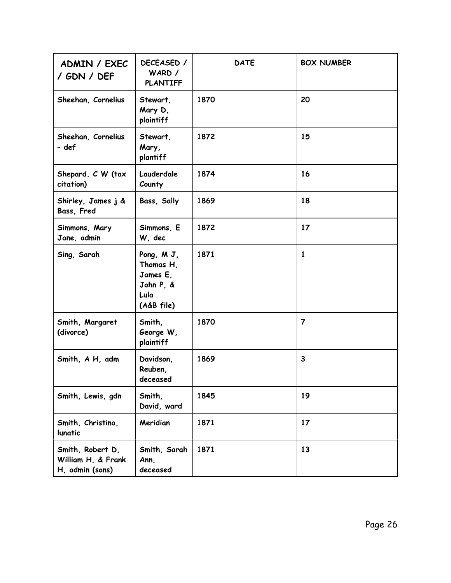| ADMIN / EXEC<br>/ GDN / DEF                               | DECEASED /<br>WARD /<br><b>PLANTIFF</b>                                | <b>DATE</b> | <b>BOX NUMBER</b> |
|-----------------------------------------------------------|------------------------------------------------------------------------|-------------|-------------------|
| Sheehan, Cornelius                                        | Stewart,<br>Mary D,<br>plaintiff                                       | 1870        | 20                |
| Sheehan, Cornelius<br>- def                               | Stewart,<br>Mary,<br>plantiff                                          | 1872        | 15                |
| Shepard. C W (tax<br>citation)                            | Lauderdale<br>County                                                   | 1874        | 16                |
| Shirley, James j &<br>Bass, Fred                          | Bass, Sally                                                            | 1869        | 18                |
| Simmons, Mary<br>Jane, admin                              | Simmons, E<br>W, dec                                                   | 1872        | 17                |
| Sing, Sarah                                               | Pong, M J,<br>Thomas H,<br>James E,<br>John P, &<br>Lula<br>(A&B file) | 1871        | $\mathbf{1}$      |
| Smith, Margaret<br>(divorce)                              | Smith,<br>George W,<br>plaintiff                                       | 1870        | $\overline{7}$    |
| Smith, A H, adm                                           | Davidson.<br>Reuben,<br>deceased                                       | 1869        | $\mathbf{3}$      |
| Smith, Lewis, gdn                                         | Smith,<br>David, ward                                                  | 1845        | 19                |
| Smith, Christina,<br>lunatic                              | Meridian                                                               | 1871        | 17                |
| Smith, Robert D,<br>William H, & Frank<br>H, admin (sons) | Smith, Sarah<br>Ann,<br>deceased                                       | 1871        | 13                |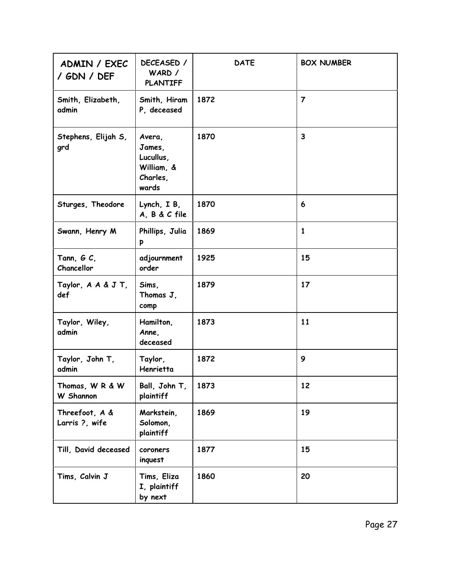| ADMIN / EXEC<br>/ GDN / DEF      | DECEASED /<br>WARD /<br><b>PLANTIFF</b>                          | <b>DATE</b> | <b>BOX NUMBER</b> |
|----------------------------------|------------------------------------------------------------------|-------------|-------------------|
| Smith, Elizabeth,<br>admin       | Smith, Hiram<br>P, deceased                                      | 1872        | $\overline{7}$    |
| Stephens, Elijah S,<br>grd       | Avera,<br>James,<br>Lucullus,<br>William, &<br>Charles,<br>wards | 1870        | $\overline{3}$    |
| Sturges, Theodore                | Lynch, IB,<br>A, B & C file                                      | 1870        | 6                 |
| Swann, Henry M                   | Phillips, Julia<br>p                                             | 1869        | $\mathbf{1}$      |
| Tann, $G C$ ,<br>Chancellor      | adjournment<br>order                                             | 1925        | 15                |
| Taylor, A A & J T,<br>def        | Sims,<br>Thomas J,<br>comp                                       | 1879        | 17                |
| Taylor, Wiley,<br>admin          | Hamilton,<br>Anne,<br>deceased                                   | 1873        | 11                |
| Taylor, John T,<br>admin         | Taylor,<br>Henrietta                                             | 1872        | 9                 |
| Thomas, W R & W<br>W Shannon     | Ball, John T,<br>plaintiff                                       | 1873        | 12                |
| Threefoot, A &<br>Larris ?, wife | Markstein,<br>Solomon,<br>plaintiff                              | 1869        | 19                |
| Till, David deceased             | coroners<br>inquest                                              | 1877        | 15                |
| Tims, Calvin J                   | Tims, Eliza<br>I, plaintiff<br>by next                           | 1860        | 20                |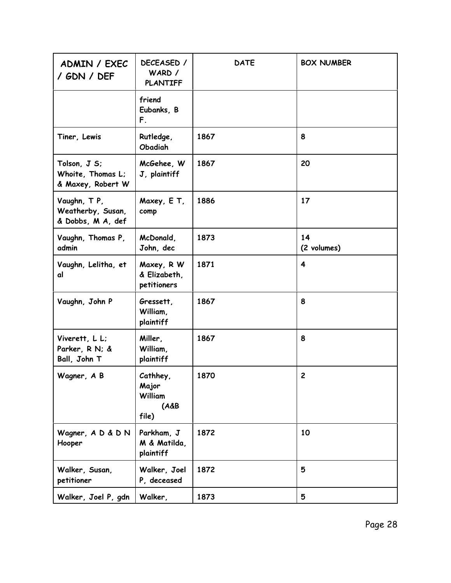| ADMIN / EXEC<br>/ GDN / DEF                            | DECEASED /<br>WARD /<br><b>PLANTIFF</b>                  | <b>DATE</b> | <b>BOX NUMBER</b>       |
|--------------------------------------------------------|----------------------------------------------------------|-------------|-------------------------|
|                                                        | friend<br>Eubanks, B<br>F.                               |             |                         |
| Tiner, Lewis                                           | Rutledge,<br>Obadiah                                     | 1867        | 8                       |
| Tolson, J S;<br>Whoite, Thomas L;<br>& Maxey, Robert W | McGehee, W<br>J, plaintiff                               | 1867        | 20                      |
| Vaughn, TP,<br>Weatherby, Susan,<br>& Dobbs, M A, def  | Maxey, E T,<br>comp                                      | 1886        | 17                      |
| Vaughn, Thomas P,<br>admin                             | McDonald,<br>John, dec                                   | 1873        | 14<br>(2 volumes)       |
| Vaughn, Lelitha, et<br>αl                              | Maxey, R W<br>& Elizabeth,<br>petitioners                | 1871        | $\overline{\mathbf{4}}$ |
| Vaughn, John P                                         | Gressett,<br>William,<br>plaintiff                       | 1867        | 8                       |
| Viverett, L L;<br>Parker, R N; &<br>Ball, John T       | Miller,<br>William,<br>plaintiff                         | 1867        | 8                       |
| Wagner, A B                                            | Cathhey,<br>Major<br><b>William</b><br>$(A\&B)$<br>file) | 1870        | $\mathbf{2}$            |
| Wagner, A D & D N<br>Hooper                            | Parkham, J<br>M & Matilda,<br>plaintiff                  | 1872        | 10                      |
| Walker, Susan,<br>petitioner                           | Walker, Joel<br>P, deceased                              | 1872        | 5                       |
| Walker, Joel P, gdn                                    | Walker,                                                  | 1873        | 5                       |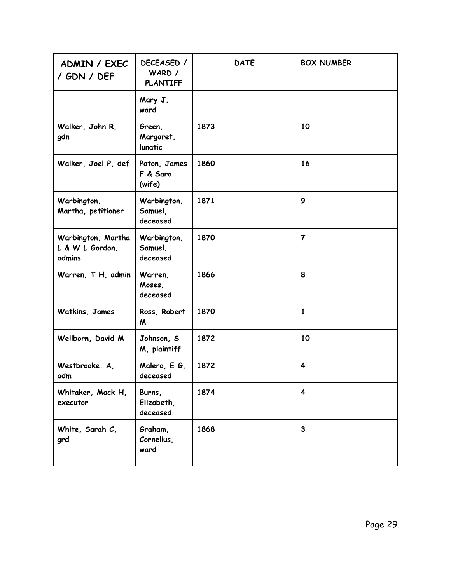| ADMIN / EXEC<br>/ GDN / DEF                     | DECEASED /<br>WARD /<br><b>PLANTIFF</b> | <b>DATE</b> | <b>BOX NUMBER</b>       |
|-------------------------------------------------|-----------------------------------------|-------------|-------------------------|
|                                                 | Mary J,<br>ward                         |             |                         |
| Walker, John R,<br>gdn                          | Green,<br>Margaret,<br>lunatic          | 1873        | 10                      |
| Walker, Joel P, def                             | Paton, James<br>F & Sara<br>(wife)      | 1860        | 16                      |
| Warbington,<br>Martha, petitioner               | Warbington,<br>Samuel,<br>deceased      | 1871        | 9                       |
| Warbington, Martha<br>L & W L Gordon,<br>admins | Warbington,<br>Samuel,<br>deceased      | 1870        | $\overline{7}$          |
| Warren, T H, admin                              | Warren,<br>Moses,<br>deceased           | 1866        | 8                       |
| Watkins, James                                  | Ross, Robert<br>M                       | 1870        | 1                       |
| Wellborn, David M                               | Johnson, S<br>M, plaintiff              | 1872        | 10                      |
| Westbrooke. A.<br>adm                           | Malero, E G,<br>deceased                | 1872        | 4                       |
| Whitaker, Mack H,<br>executor                   | Burns,<br>Elizabeth,<br>deceased        | 1874        | $\overline{\mathbf{4}}$ |
| White, Sarah C,<br>grd                          | Graham,<br>Cornelius,<br>ward           | 1868        | $\mathbf{3}$            |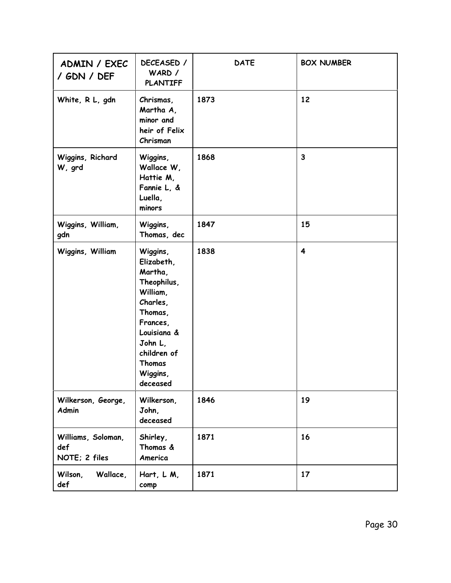| ADMIN / EXEC<br>/ GDN / DEF                | DECEASED /<br>WARD /<br><b>PLANTIFF</b>                                                                                                                                    | <b>DATE</b> | <b>BOX NUMBER</b>       |
|--------------------------------------------|----------------------------------------------------------------------------------------------------------------------------------------------------------------------------|-------------|-------------------------|
| White, R L, gdn                            | Chrismas,<br>Martha A,<br>minor and<br>heir of Felix<br>Chrisman                                                                                                           | 1873        | 12                      |
| Wiggins, Richard<br>W, grd                 | Wiggins,<br>Wallace W,<br>Hattie M,<br>Fannie L, &<br>Luella,<br>minors                                                                                                    | 1868        | $\mathbf{3}$            |
| Wiggins, William,<br>gdn                   | Wiggins,<br>Thomas, dec                                                                                                                                                    | 1847        | 15                      |
| Wiggins, William                           | Wiggins,<br>Elizabeth,<br>Martha,<br>Theophilus,<br>William,<br>Charles,<br>Thomas,<br>Frances,<br>Louisiana &<br>John L,<br>children of<br>Thomas<br>Wiggins,<br>deceased | 1838        | $\overline{\mathbf{4}}$ |
| Wilkerson, George,<br><b>Admin</b>         | Wilkerson,<br>John,<br>deceased                                                                                                                                            | 1846        | 19                      |
| Williams, Soloman,<br>def<br>NOTE; 2 files | Shirley,<br>Thomas &<br>America                                                                                                                                            | 1871        | 16                      |
| Wilson,<br>Wallace,<br>def                 | Hart, L M,<br>comp                                                                                                                                                         | 1871        | 17                      |